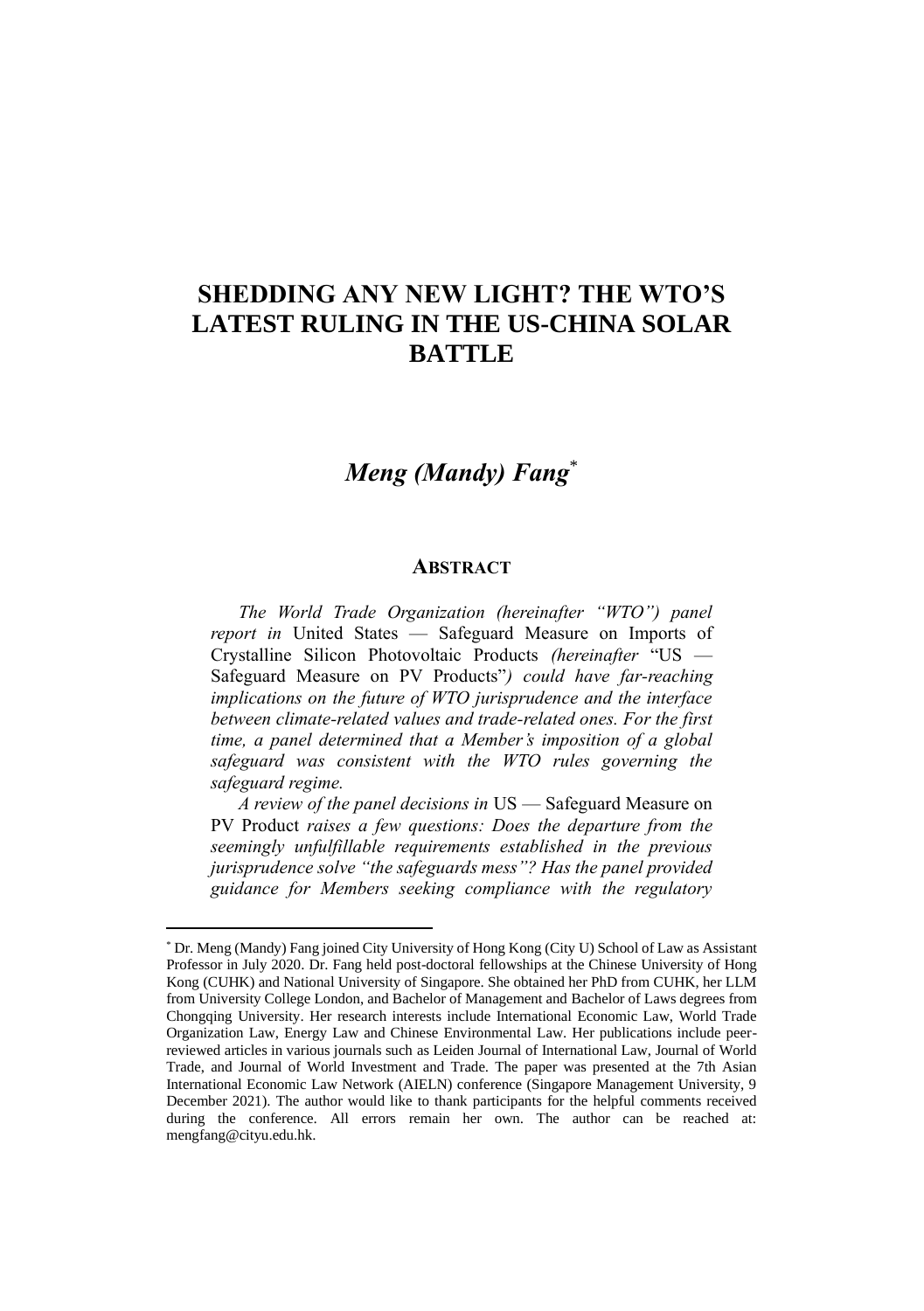## **SHEDDING ANY NEW LIGHT? THE WTO'S LATEST RULING IN THE US-CHINA SOLAR BATTLE**

## *Meng (Mandy) Fang*\*

## **ABSTRACT**

*The World Trade Organization (hereinafter "WTO") panel report in* United States — Safeguard Measure on Imports of Crystalline Silicon Photovoltaic Products *(hereinafter* "US — Safeguard Measure on PV Products"*) could have far-reaching implications on the future of WTO jurisprudence and the interface between climate-related values and trade-related ones. For the first time, a panel determined that a Member's imposition of a global safeguard was consistent with the WTO rules governing the safeguard regime.* 

*A review of the panel decisions in* US — Safeguard Measure on PV Product *raises a few questions: Does the departure from the seemingly unfulfillable requirements established in the previous jurisprudence solve "the safeguards mess"? Has the panel provided guidance for Members seeking compliance with the regulatory* 

<sup>\*</sup> Dr. Meng (Mandy) Fang joined City University of Hong Kong (City U) School of Law as Assistant Professor in July 2020. Dr. Fang held post-doctoral fellowships at the Chinese University of Hong Kong (CUHK) and National University of Singapore. She obtained her PhD from CUHK, her LLM from University College London, and Bachelor of Management and Bachelor of Laws degrees from Chongqing University. Her research interests include International Economic Law, World Trade Organization Law, Energy Law and Chinese Environmental Law. Her publications include peerreviewed articles in various journals such as Leiden Journal of International Law, Journal of World Trade, and Journal of World Investment and Trade. The paper was presented at the 7th Asian International Economic Law Network (AIELN) conference (Singapore Management University, 9 December 2021). The author would like to thank participants for the helpful comments received during the conference. All errors remain her own. The author can be reached at: mengfang@cityu.edu.hk.